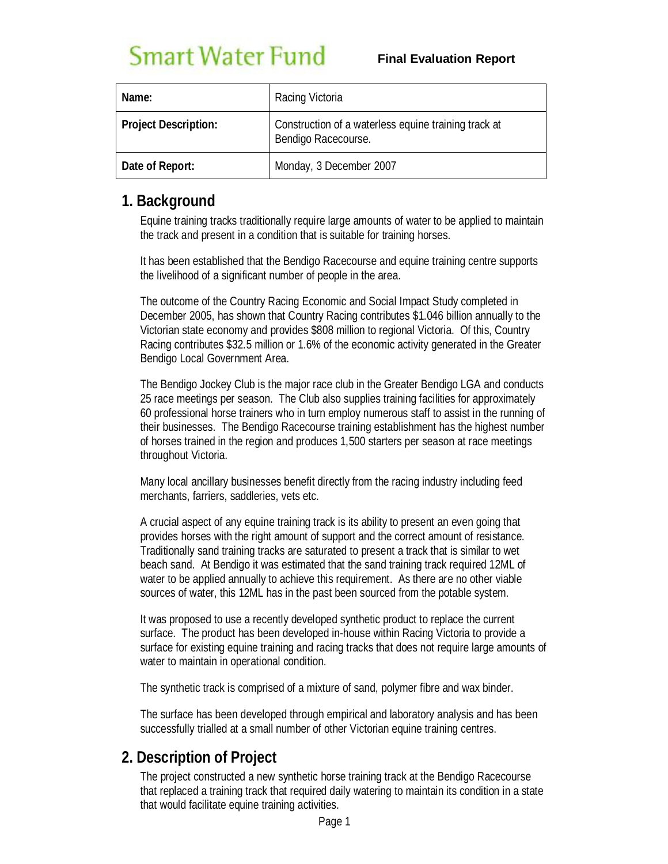# **Smart Water Fund**

| Name:                       | Racing Victoria                                                             |
|-----------------------------|-----------------------------------------------------------------------------|
| <b>Project Description:</b> | Construction of a waterless equine training track at<br>Bendigo Racecourse. |
| Date of Report:             | Monday, 3 December 2007                                                     |

### **1. Background**

Equine training tracks traditionally require large amounts of water to be applied to maintain the track and present in a condition that is suitable for training horses.

It has been established that the Bendigo Racecourse and equine training centre supports the livelihood of a significant number of people in the area.

The outcome of the Country Racing Economic and Social Impact Study completed in December 2005, has shown that Country Racing contributes \$1.046 billion annually to the Victorian state economy and provides \$808 million to regional Victoria. Of this, Country Racing contributes \$32.5 million or 1.6% of the economic activity generated in the Greater Bendigo Local Government Area.

The Bendigo Jockey Club is the major race club in the Greater Bendigo LGA and conducts 25 race meetings per season. The Club also supplies training facilities for approximately 60 professional horse trainers who in turn employ numerous staff to assist in the running of their businesses. The Bendigo Racecourse training establishment has the highest number of horses trained in the region and produces 1,500 starters per season at race meetings throughout Victoria.

Many local ancillary businesses benefit directly from the racing industry including feed merchants, farriers, saddleries, vets etc.

A crucial aspect of any equine training track is its ability to present an even going that provides horses with the right amount of support and the correct amount of resistance. Traditionally sand training tracks are saturated to present a track that is similar to wet beach sand. At Bendigo it was estimated that the sand training track required 12ML of water to be applied annually to achieve this requirement. As there are no other viable sources of water, this 12ML has in the past been sourced from the potable system.

It was proposed to use a recently developed synthetic product to replace the current surface. The product has been developed in-house within Racing Victoria to provide a surface for existing equine training and racing tracks that does not require large amounts of water to maintain in operational condition.

The synthetic track is comprised of a mixture of sand, polymer fibre and wax binder.

The surface has been developed through empirical and laboratory analysis and has been successfully trialled at a small number of other Victorian equine training centres.

### **2. Description of Project**

The project constructed a new synthetic horse training track at the Bendigo Racecourse that replaced a training track that required daily watering to maintain its condition in a state that would facilitate equine training activities.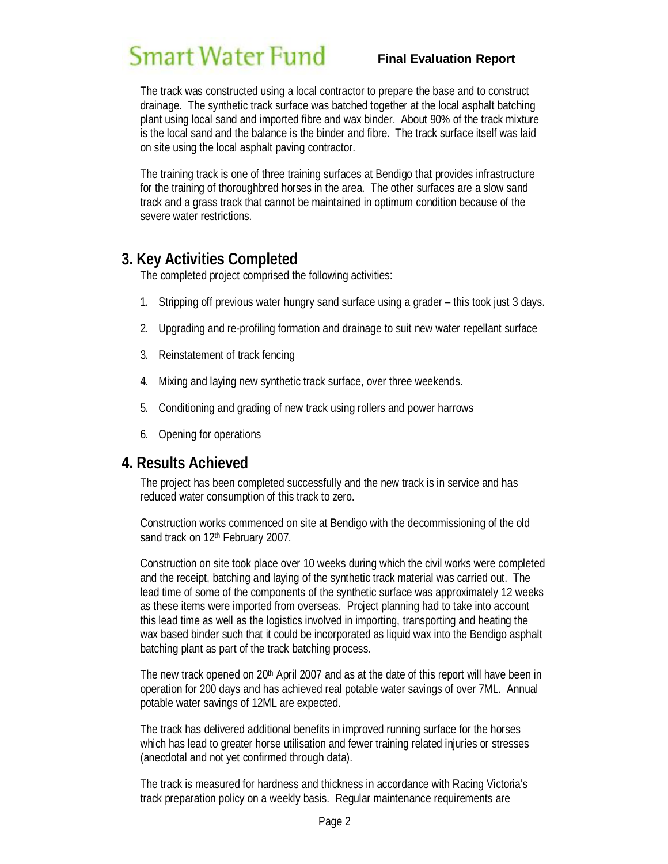# **Smart Water Fund**

#### **Final Evaluation Report**

The track was constructed using a local contractor to prepare the base and to construct drainage. The synthetic track surface was batched together at the local asphalt batching plant using local sand and imported fibre and wax binder. About 90% of the track mixture is the local sand and the balance is the binder and fibre. The track surface itself was laid on site using the local asphalt paving contractor.

The training track is one of three training surfaces at Bendigo that provides infrastructure for the training of thoroughbred horses in the area. The other surfaces are a slow sand track and a grass track that cannot be maintained in optimum condition because of the severe water restrictions.

### **3. Key Activities Completed**

The completed project comprised the following activities:

- 1. Stripping off previous water hungry sand surface using a grader this took just 3 days.
- 2. Upgrading and re-profiling formation and drainage to suit new water repellant surface
- 3. Reinstatement of track fencing
- 4. Mixing and laying new synthetic track surface, over three weekends.
- 5. Conditioning and grading of new track using rollers and power harrows
- 6. Opening for operations

#### **4. Results Achieved**

The project has been completed successfully and the new track is in service and has reduced water consumption of this track to zero.

Construction works commenced on site at Bendigo with the decommissioning of the old sand track on 12<sup>th</sup> February 2007.

Construction on site took place over 10 weeks during which the civil works were completed and the receipt, batching and laying of the synthetic track material was carried out. The lead time of some of the components of the synthetic surface was approximately 12 weeks as these items were imported from overseas. Project planning had to take into account this lead time as well as the logistics involved in importing, transporting and heating the wax based binder such that it could be incorporated as liquid wax into the Bendigo asphalt batching plant as part of the track batching process.

The new track opened on 20<sup>th</sup> April 2007 and as at the date of this report will have been in operation for 200 days and has achieved real potable water savings of over 7ML. Annual potable water savings of 12ML are expected.

The track has delivered additional benefits in improved running surface for the horses which has lead to greater horse utilisation and fewer training related injuries or stresses (anecdotal and not yet confirmed through data).

The track is measured for hardness and thickness in accordance with Racing Victoria's track preparation policy on a weekly basis. Regular maintenance requirements are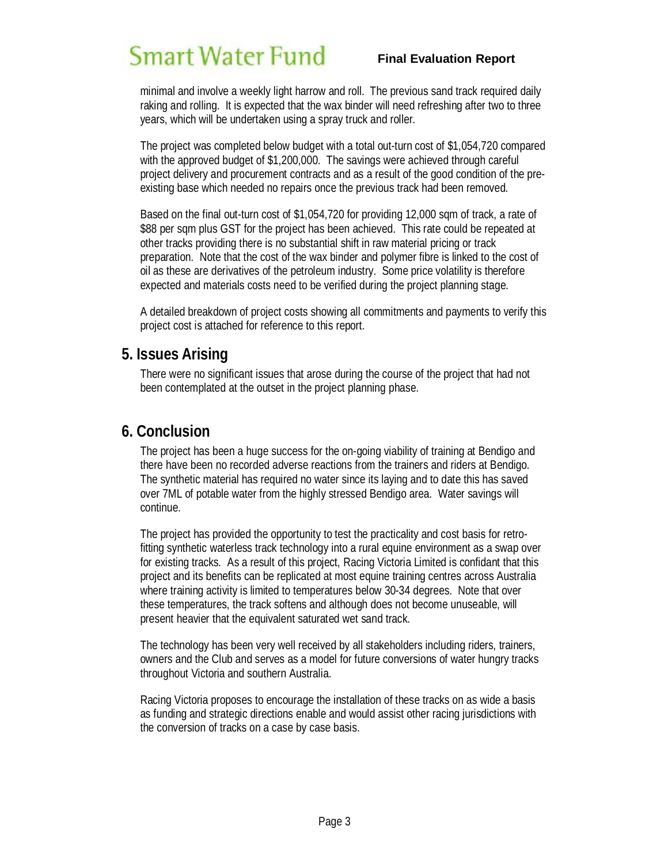# Smart Water Fund

#### **Final Evaluation Report**

minimal and involve a weekly light harrow and roll. The previous sand track required daily raking and rolling. It is expected that the wax binder will need refreshing after two to three years, which will be undertaken using a spray truck and roller.

The project was completed below budget with a total out-turn cost of \$1,054,720 compared with the approved budget of \$1,200,000. The savings were achieved through careful project delivery and procurement contracts and as a result of the good condition of the preexisting base which needed no repairs once the previous track had been removed.

Based on the final out-turn cost of \$1,054,720 for providing 12,000 sqm of track, a rate of \$88 per sqm plus GST for the project has been achieved. This rate could be repeated at other tracks providing there is no substantial shift in raw material pricing or track preparation. Note that the cost of the wax binder and polymer fibre is linked to the cost of oil as these are derivatives of the petroleum industry. Some price volatility is therefore expected and materials costs need to be verified during the project planning stage.

A detailed breakdown of project costs showing all commitments and payments to verify this project cost is attached for reference to this report.

#### **5. Issues Arising**

There were no significant issues that arose during the course of the project that had not been contemplated at the outset in the project planning phase.

#### **6. Conclusion**

The project has been a huge success for the on-going viability of training at Bendigo and there have been no recorded adverse reactions from the trainers and riders at Bendigo. The synthetic material has required no water since its laying and to date this has saved over 7ML of potable water from the highly stressed Bendigo area. Water savings will continue.

The project has provided the opportunity to test the practicality and cost basis for retrofitting synthetic waterless track technology into a rural equine environment as a swap over for existing tracks. As a result of this project, Racing Victoria Limited is confidant that this project and its benefits can be replicated at most equine training centres across Australia where training activity is limited to temperatures below 30-34 degrees. Note that over these temperatures, the track softens and although does not become unuseable, will present heavier that the equivalent saturated wet sand track.

The technology has been very well received by all stakeholders including riders, trainers, owners and the Club and serves as a model for future conversions of water hungry tracks throughout Victoria and southern Australia.

Racing Victoria proposes to encourage the installation of these tracks on as wide a basis as funding and strategic directions enable and would assist other racing jurisdictions with the conversion of tracks on a case by case basis.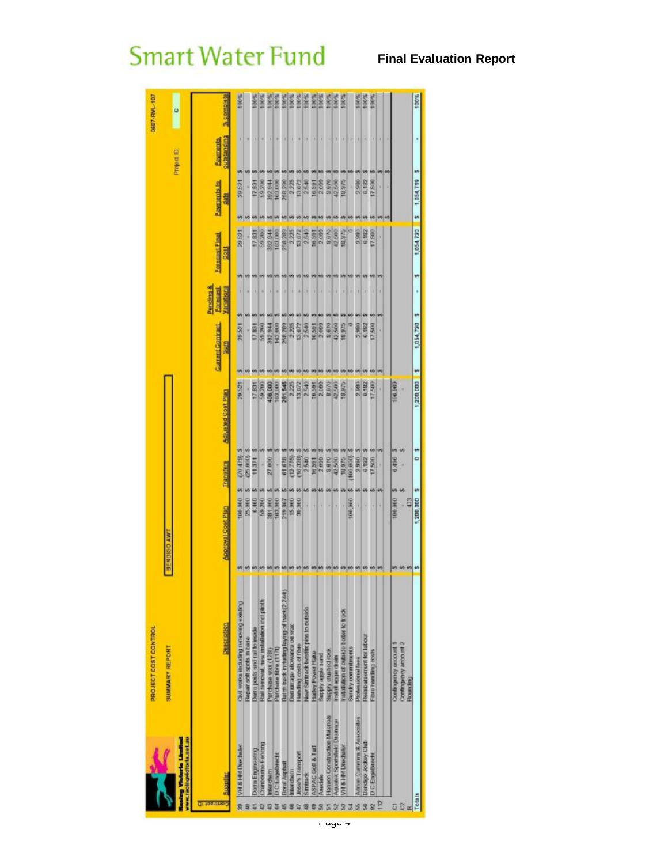|        |                                                                    | PROJECT COST CONTROL                                                   |                          |                    |                           |                    |                                     |                              |                                   |                                        | DE07-RVL-107     |
|--------|--------------------------------------------------------------------|------------------------------------------------------------------------|--------------------------|--------------------|---------------------------|--------------------|-------------------------------------|------------------------------|-----------------------------------|----------------------------------------|------------------|
|        | www.racingwidtoria.set.au<br><b>Cing Victoria Limited</b>          | <b>SUMMARY REPORT</b>                                                  | <b>BENOIGO AW</b>        |                    |                           |                    |                                     |                              |                                   | Project D                              | ¢                |
| u      | <b>Supplier</b>                                                    | <b>Description</b>                                                     | <b>Accoval Cost Plan</b> | Transfers          | <b>Adjusted Cost Pinn</b> | Grandenatoria<br>見 | Pending &<br>Forecast<br>Variations | Encontratainal<br><b>GSE</b> | <b>Payments to</b><br><b>Elia</b> | <b>Quintianding</b><br><b>Bayments</b> | <b>Wednesday</b> |
| 9      | VH & HIS Direction                                                 | Создания было приделительные пус-                                      | 00.000                   | $(70.479)$ 3<br>in | 29.521                    | 29.521<br>99       | k<br>m                              | 29.521                       | 29521<br>ņ                        |                                        | 100%             |
|        |                                                                    | Repair soil spots in base                                              | 25,000                   | (25,000)           |                           |                    |                                     |                              |                                   |                                        |                  |
|        | рати Еприненто                                                     | Durin posts one rail to make                                           | 6,488                    | 11,371             | 17,831                    | 17,831             |                                     | 17,831                       | 17831                             |                                        | <b>MAR</b>       |
|        | tranbourne I-enting                                                | Rail removal, new installation ind plinth                              | 59.210                   |                    | 59,2110                   | 59.200             |                                     | 69.200                       | 59 200                            |                                        | 100%             |
|        | <b>ndere chase my</b>                                              | Purchase wax (128)                                                     | 381,000                  | 27,000             | 108,000                   | 382.944            |                                     | 110.788                      | 392.844                           |                                        | 100%             |
|        | <b>DCE nawthreem</b><br>Boral Asphalt                              | Batch track including laying of track(2,244b)<br>Purchase fibre (1171) | 103,000<br>219,887       | 61678<br>40        | 81,545<br>63,900          | 163,000<br>258.289 |                                     | 163.000<br>258 289           | 163.000<br>258 290                |                                        | 100%<br>100%     |
|        | migreener                                                          | Глеништара айсомански од зеда:                                         | 15,000                   | 12.775)            | 2,225                     | 2.225              |                                     | 2 225                        | 2 225                             |                                        | 100%             |
|        | <b>Rose's Transport</b>                                            | Hamilling costs of fibre                                               | 30.000                   | 10,328)            | 13,672                    | 13,672             |                                     | 13.072                       | 13,672                            |                                        | 100%             |
|        | Suntrace                                                           | New Stratack Iweston pins to outside                                   |                          | 2,540              | 2,540                     | 2.540              |                                     |                              | 2.540                             |                                        | 100%             |
|        | ASPAC Gott & Turt                                                  | <b>Harley Power Rake</b>                                               |                          | 16,591             | 16.591                    | 16591              |                                     | 16591                        | 16 591                            |                                        | <b>PRODUCT</b>   |
|        | bandale                                                            | pues estite Aphre                                                      |                          | 2.099              |                           | 2,099              |                                     |                              |                                   |                                        |                  |
|        | <b>Hanson Construction Materials</b><br>Agustok Spotsflold Dramage | con partiants Moths                                                    |                          | 42,500<br>8,670    | 42.500<br>8,870           | 42,500<br>8,670    |                                     | 8870                         | 42,500<br>3,870                   |                                        | 100%             |
| 5      | VH & HM Drechsler                                                  | Installation of outside batter to track<br>Install aggie drain         |                          | 18,975             | 18,975                    | 18,975             |                                     | 18,975                       | 18,975                            |                                        | 100%             |
|        |                                                                    | <b>Survive communications</b>                                          | 100,000                  | 100,000            |                           |                    |                                     |                              |                                   |                                        |                  |
| Ś.     | Autom Currentes & Associates                                       | <b>Predanskienal Took</b>                                              |                          | 2,980              | 2,986                     | 2,980              |                                     | 2,980                        | 2.990                             |                                        | 100%             |
|        | Bendage Jockey Club                                                | <b>Retrieversement for labour</b>                                      |                          | 6,182              | 6,192                     | 6,182              |                                     | 6,182                        | 6,182                             |                                        | 100%             |
| 82     | <b>D</b> C Engelbrecht                                             | Fibro handing oxes                                                     |                          | 17,500<br>w        | 17,500                    | EZ.500<br>49 49    |                                     | 17,500                       | 17,500                            |                                        | 100%             |
| P      |                                                                    |                                                                        | ١                        | W                  |                           |                    |                                     |                              |                                   |                                        |                  |
|        |                                                                    |                                                                        |                          |                    |                           |                    |                                     |                              |                                   |                                        |                  |
| T<br>ō |                                                                    | Contingency account 2<br>Сонавиденту возрасти<br><b>Оснаки Этка</b>    | 100,000<br>423           | 6,496<br>w         | 08.963                    |                    |                                     |                              |                                   |                                        |                  |
| Totals |                                                                    |                                                                        | 1,200,000                | o<br>w             | $1,200,000 = 1$<br>۴      | 1,054,720 \$       |                                     | w                            | 1,054,720 \$ 1,054,719            | M)                                     | 100%             |
|        |                                                                    |                                                                        |                          |                    |                           |                    |                                     |                              |                                   |                                        |                  |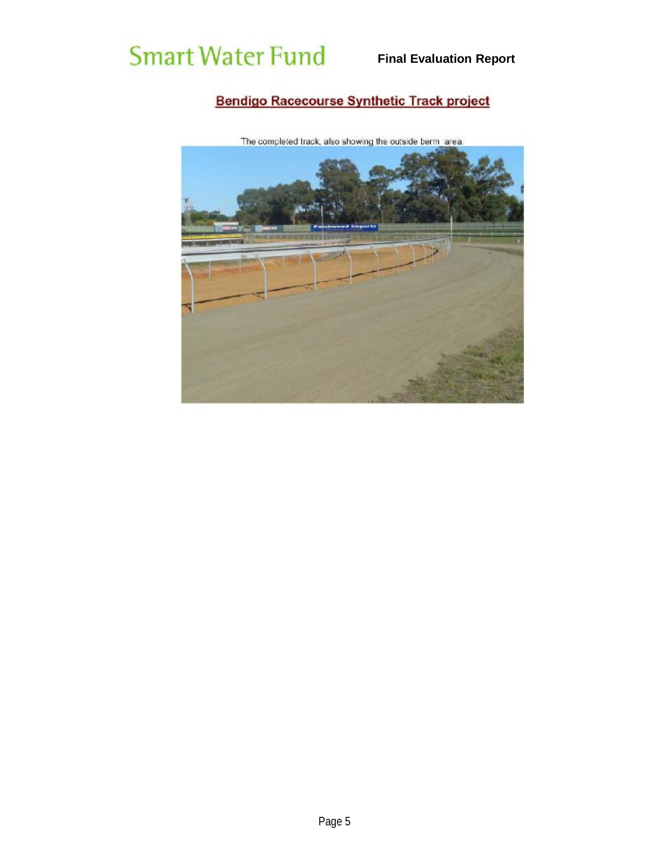### Bendigo Racecourse Synthetic Track project



The completed track, also showing the outside berm area.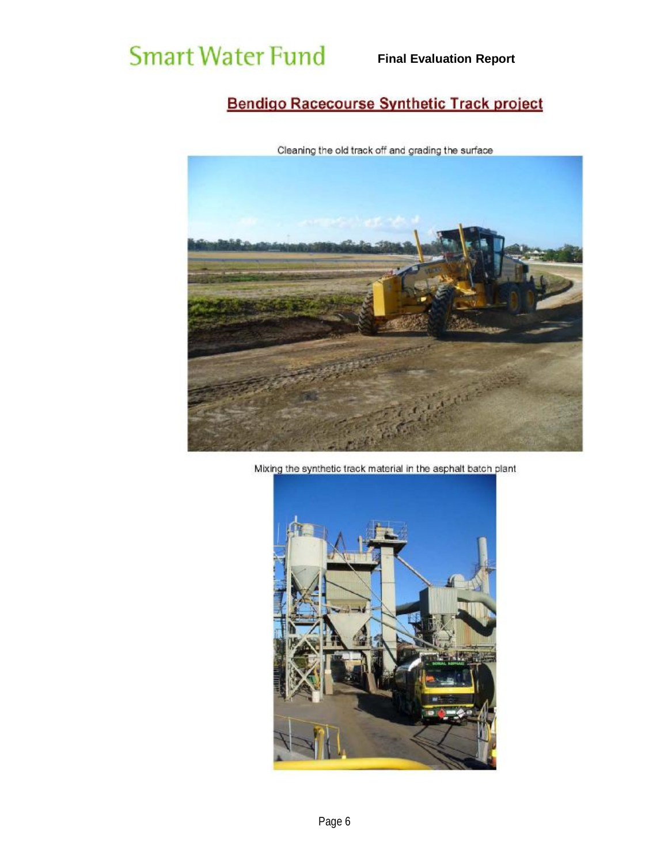### **Bendigo Racecourse Synthetic Track project**



Cleaning the old track off and grading the surface

Mixing the synthetic track material in the asphalt batch plant

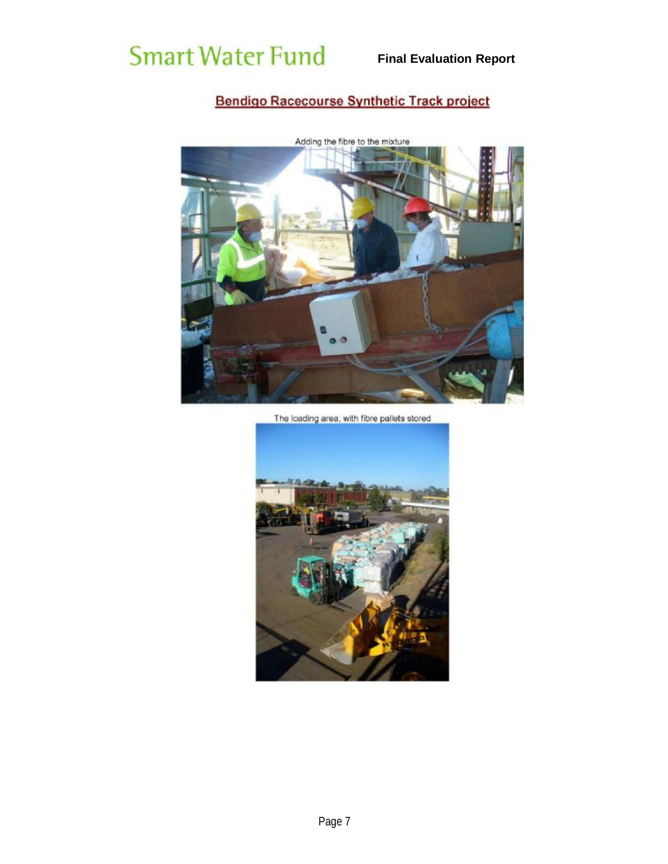### **Bendigo Racecourse Synthetic Track project**



The loading area, with fibre pallets stored

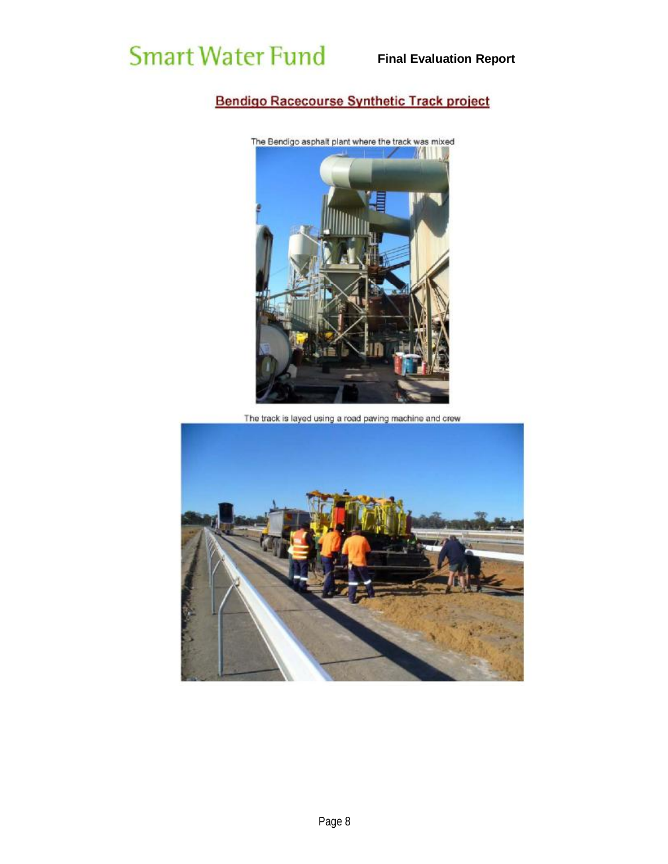### **Bendigo Racecourse Synthetic Track project**



The track is layed using a road paving machine and crew